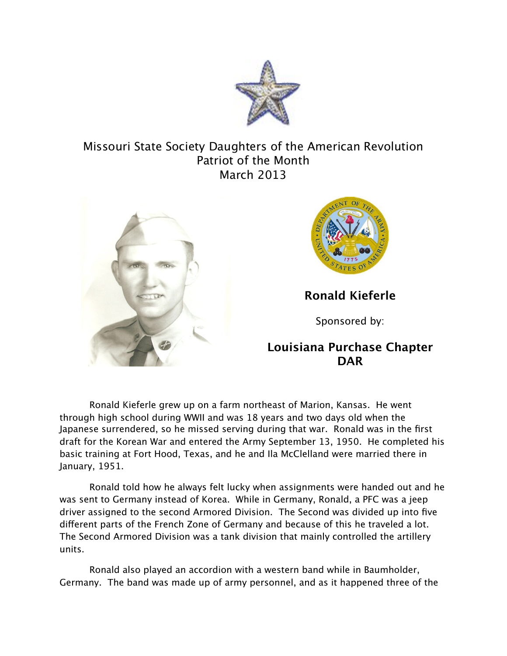

## Missouri State Society Daughters of the American Revolution Patriot of the Month March 2013





**Ronald Kieferle**

Sponsored by:

## **Louisiana Purchase Chapter DAR**

Ronald Kieferle grew up on a farm northeast of Marion, Kansas. He went through high school during WWII and was 18 years and two days old when the Japanese surrendered, so he missed serving during that war. Ronald was in the first draft for the Korean War and entered the Army September 13, 1950. He completed his basic training at Fort Hood, Texas, and he and Ila McClelland were married there in January, 1951.

Ronald told how he always felt lucky when assignments were handed out and he was sent to Germany instead of Korea. While in Germany, Ronald, a PFC was a jeep driver assigned to the second Armored Division. The Second was divided up into five diferent parts of the French Zone of Germany and because of this he traveled a lot. The Second Armored Division was a tank division that mainly controlled the artillery units.

Ronald also played an accordion with a western band while in Baumholder, Germany. The band was made up of army personnel, and as it happened three of the